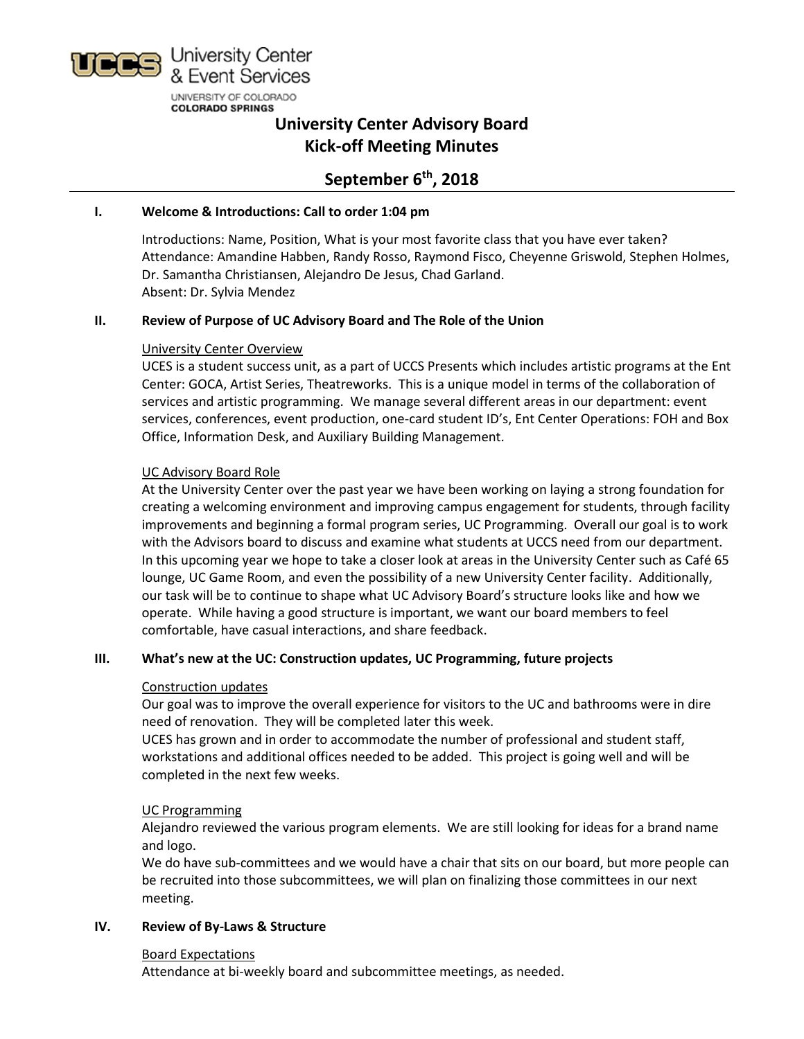

# **University Center Advisory Board Kick-off Meeting Minutes**

# **September 6th, 2018**

#### **I. Welcome & Introductions: Call to order 1:04 pm**

Introductions: Name, Position, What is your most favorite class that you have ever taken? Attendance: Amandine Habben, Randy Rosso, Raymond Fisco, Cheyenne Griswold, Stephen Holmes, Dr. Samantha Christiansen, Alejandro De Jesus, Chad Garland. Absent: Dr. Sylvia Mendez

#### **II. Review of Purpose of UC Advisory Board and The Role of the Union**

### University Center Overview

UCES is a student success unit, as a part of UCCS Presents which includes artistic programs at the Ent Center: GOCA, Artist Series, Theatreworks. This is a unique model in terms of the collaboration of services and artistic programming. We manage several different areas in our department: event services, conferences, event production, one-card student ID's, Ent Center Operations: FOH and Box Office, Information Desk, and Auxiliary Building Management.

### UC Advisory Board Role

At the University Center over the past year we have been working on laying a strong foundation for creating a welcoming environment and improving campus engagement for students, through facility improvements and beginning a formal program series, UC Programming. Overall our goal is to work with the Advisors board to discuss and examine what students at UCCS need from our department. In this upcoming year we hope to take a closer look at areas in the University Center such as Café 65 lounge, UC Game Room, and even the possibility of a new University Center facility. Additionally, our task will be to continue to shape what UC Advisory Board's structure looks like and how we operate. While having a good structure is important, we want our board members to feel comfortable, have casual interactions, and share feedback.

#### **III. What's new at the UC: Construction updates, UC Programming, future projects**

#### Construction updates

Our goal was to improve the overall experience for visitors to the UC and bathrooms were in dire need of renovation. They will be completed later this week.

UCES has grown and in order to accommodate the number of professional and student staff, workstations and additional offices needed to be added. This project is going well and will be completed in the next few weeks.

#### UC Programming

Alejandro reviewed the various program elements. We are still looking for ideas for a brand name and logo.

We do have sub-committees and we would have a chair that sits on our board, but more people can be recruited into those subcommittees, we will plan on finalizing those committees in our next meeting.

#### **IV. Review of By-Laws & Structure**

#### Board Expectations

Attendance at bi-weekly board and subcommittee meetings, as needed.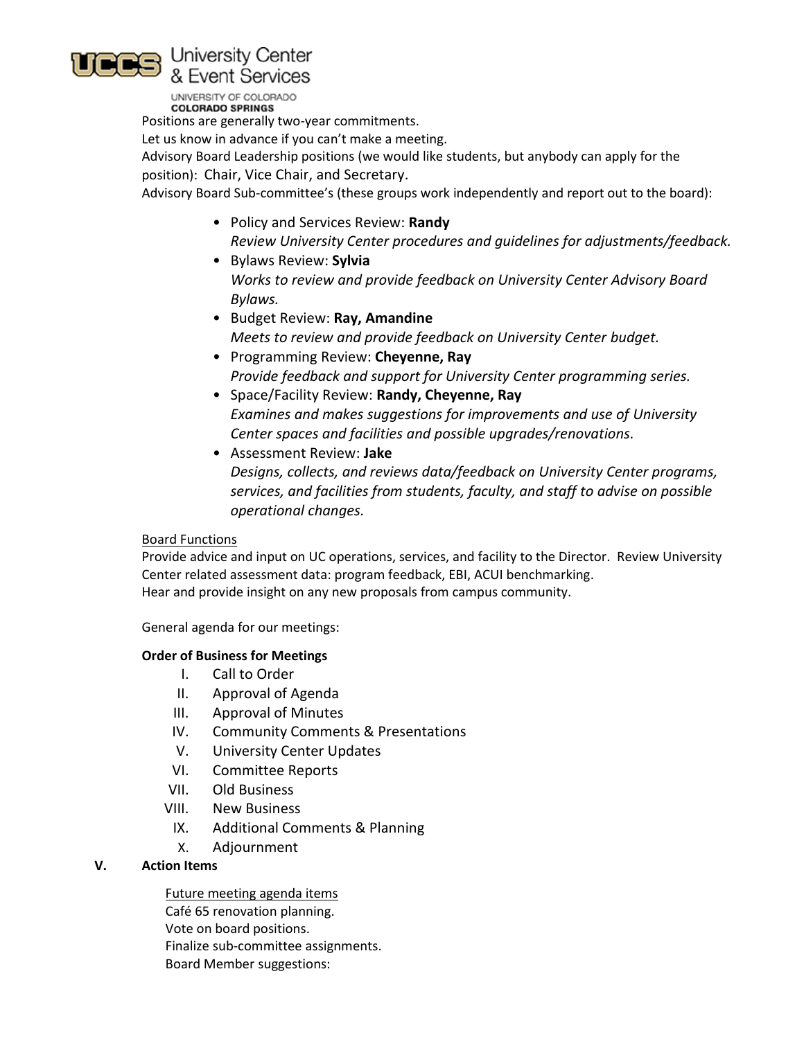

UNIVERSITY OF COLORADO **COLORADO SPRINGS** 

Positions are generally two-year commitments.

Let us know in advance if you can't make a meeting.

Advisory Board Leadership positions (we would like students, but anybody can apply for the position): Chair, Vice Chair, and Secretary.

Advisory Board Sub-committee's (these groups work independently and report out to the board):

- Policy and Services Review: **Randy** *Review University Center procedures and guidelines for adjustments/feedback.*
- Bylaws Review: **Sylvia** *Works to review and provide feedback on University Center Advisory Board Bylaws.*
- Budget Review: **Ray, Amandine** *Meets to review and provide feedback on University Center budget.*
- Programming Review: **Cheyenne, Ray** *Provide feedback and support for University Center programming series.*
- Space/Facility Review: **Randy, Cheyenne, Ray** *Examines and makes suggestions for improvements and use of University Center spaces and facilities and possible upgrades/renovations.*
- Assessment Review: **Jake** *Designs, collects, and reviews data/feedback on University Center programs, services, and facilities from students, faculty, and staff to advise on possible operational changes.*

## Board Functions

Provide advice and input on UC operations, services, and facility to the Director. Review University Center related assessment data: program feedback, EBI, ACUI benchmarking. Hear and provide insight on any new proposals from campus community.

General agenda for our meetings:

#### **Order of Business for Meetings**

- I. Call to Order
- II. Approval of Agenda
- III. Approval of Minutes
- IV. Community Comments & Presentations
- V. University Center Updates
- VI. Committee Reports
- VII. Old Business
- VIII. New Business
	- IX. Additional Comments & Planning
	- X. Adjournment

## **V. Action Items**

Future meeting agenda items Café 65 renovation planning. Vote on board positions. Finalize sub-committee assignments. Board Member suggestions: